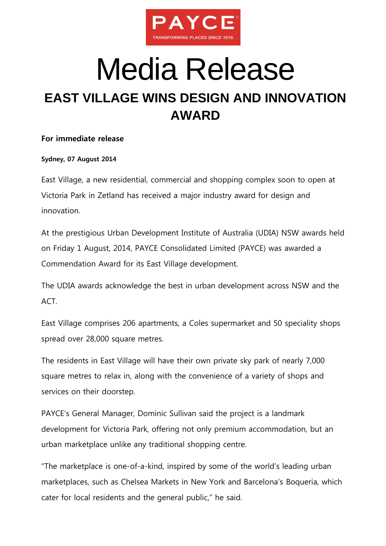

# Media Release **EAST VILLAGE WINS DESIGN AND INNOVATION AWARD**

### **For immediate release**

### **Sydney, 07 August 2014**

East Village, a new residential, commercial and shopping complex soon to open at Victoria Park in Zetland has received a major industry award for design and innovation.

At the prestigious Urban Development Institute of Australia (UDIA) NSW awards held on Friday 1 August, 2014, PAYCE Consolidated Limited (PAYCE) was awarded a Commendation Award for its East Village development.

The UDIA awards acknowledge the best in urban development across NSW and the ACT.

East Village comprises 206 apartments, a Coles supermarket and 50 speciality shops spread over 28,000 square metres.

The residents in East Village will have their own private sky park of nearly 7,000 square metres to relax in, along with the convenience of a variety of shops and services on their doorstep.

PAYCE's General Manager, Dominic Sullivan said the project is a landmark development for Victoria Park, offering not only premium accommodation, but an urban marketplace unlike any traditional shopping centre.

"The marketplace is one-of-a-kind, inspired by some of the world's leading urban marketplaces, such as Chelsea Markets in New York and Barcelona's Boqueria, which cater for local residents and the general public," he said.